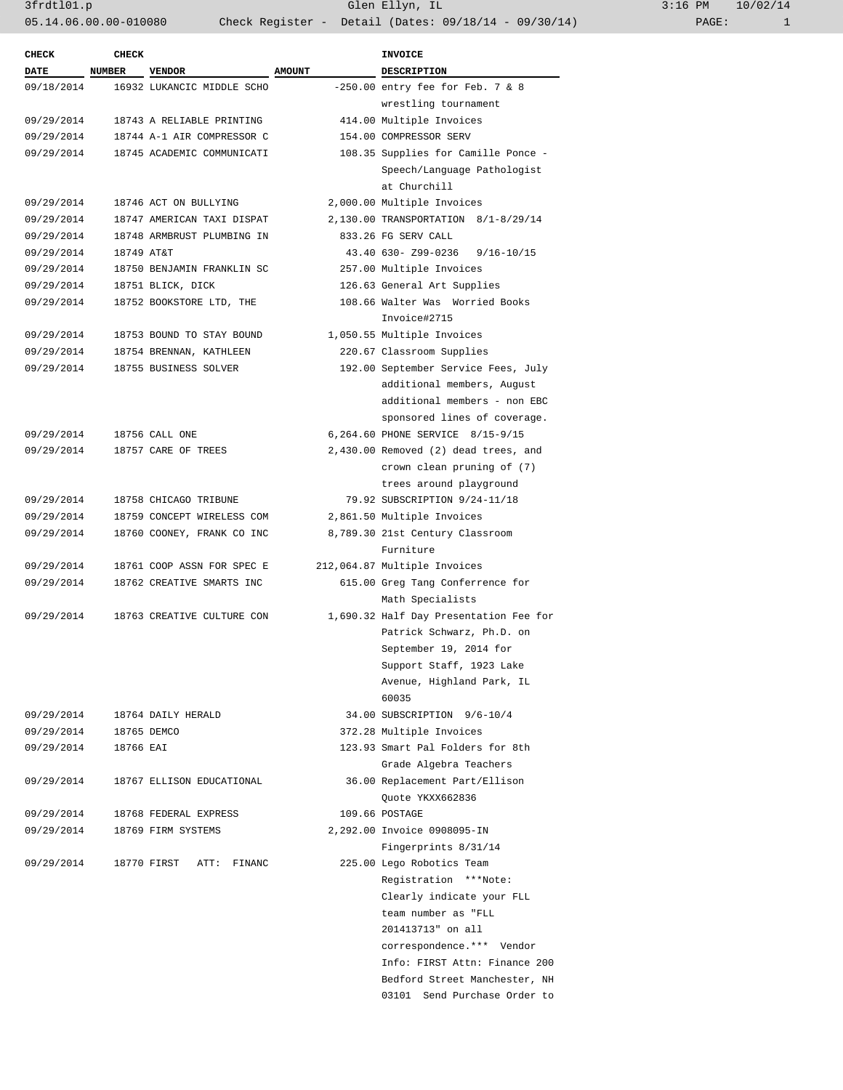3frdtl01.p Glen Ellyn, IL 3:16 PM 10/02/14 05.14.06.00.00-010080 Check Register - Detail (Dates: 09/18/14 - 09/30/14)

| <b>NUMBER</b><br><b>VENDOR</b><br><b>AMOUNT</b><br><b>DESCRIPTION</b><br>16932 LUKANCIC MIDDLE SCHO<br>$-250.00$ entry fee for Feb. 7 & 8<br>09/18/2014<br>wrestling tournament<br>414.00 Multiple Invoices<br>09/29/2014<br>18743 A RELIABLE PRINTING<br>18744 A-1 AIR COMPRESSOR C<br>154.00 COMPRESSOR SERV<br>09/29/2014<br>09/29/2014<br>18745 ACADEMIC COMMUNICATI<br>108.35 Supplies for Camille Ponce -<br>Speech/Language Pathologist<br>at Churchill<br>18746 ACT ON BULLYING<br>2,000.00 Multiple Invoices<br>09/29/2014<br>18747 AMERICAN TAXI DISPAT<br>2,130.00 TRANSPORTATION 8/1-8/29/14<br>09/29/2014<br>18748 ARMBRUST PLUMBING IN<br>833.26 FG SERV CALL<br>43.40 630- Z99-0236<br>18749 AT&T<br>$9/16 - 10/15$<br>18750 BENJAMIN FRANKLIN SC<br>257.00 Multiple Invoices<br>18751 BLICK, DICK<br>126.63 General Art Supplies<br>09/29/2014<br>09/29/2014<br>18752 BOOKSTORE LTD, THE<br>108.66 Walter Was Worried Books<br>Invoice#2715<br>1,050.55 Multiple Invoices<br>09/29/2014<br>18753 BOUND TO STAY BOUND<br>18754 BRENNAN, KATHLEEN<br>220.67 Classroom Supplies<br>09/29/2014<br>09/29/2014<br>18755 BUSINESS SOLVER<br>192.00 September Service Fees, July<br>additional members, August<br>additional members - non EBC<br>sponsored lines of coverage.<br>6,264.60 PHONE SERVICE 8/15-9/15<br>09/29/2014<br>18756 CALL ONE<br>18757 CARE OF TREES<br>2,430.00 Removed (2) dead trees, and<br>09/29/2014<br>crown clean pruning of (7)<br>trees around playground<br>79.92 SUBSCRIPTION 9/24-11/18<br>09/29/2014<br>18758 CHICAGO TRIBUNE<br>2,861.50 Multiple Invoices<br>09/29/2014<br>18759 CONCEPT WIRELESS COM<br>09/29/2014<br>18760 COONEY, FRANK CO INC<br>8,789.30 21st Century Classroom<br>Furniture<br>212,064.87 Multiple Invoices<br>09/29/2014<br>18761 COOP ASSN FOR SPEC E<br>09/29/2014<br>18762 CREATIVE SMARTS INC<br>615.00 Greg Tang Conferrence for<br>Math Specialists<br>1,690.32 Half Day Presentation Fee for<br>09/29/2014<br>18763 CREATIVE CULTURE CON<br>Patrick Schwarz, Ph.D. on<br>September 19, 2014 for<br>Support Staff, 1923 Lake<br>Avenue, Highland Park, IL<br>60035<br>34.00 SUBSCRIPTION 9/6-10/4<br>09/29/2014<br>18764 DAILY HERALD<br>09/29/2014<br>372.28 Multiple Invoices<br>18765 DEMCO<br>09/29/2014<br>123.93 Smart Pal Folders for 8th<br>18766 EAI<br>Grade Algebra Teachers<br>36.00 Replacement Part/Ellison<br>09/29/2014<br>18767 ELLISON EDUCATIONAL<br>Quote YKXX662836<br>109.66 POSTAGE<br>09/29/2014<br>18768 FEDERAL EXPRESS<br>09/29/2014<br>18769 FIRM SYSTEMS<br>2,292.00 Invoice 0908095-IN<br>Fingerprints 8/31/14<br>225.00 Lego Robotics Team<br>09/29/2014<br>18770 FIRST ATT: FINANC<br>Registration ***Note:<br>Clearly indicate your FLL<br>team number as "FLL<br>201413713" on all<br>correspondence.*** Vendor<br>Info: FIRST Attn: Finance 200<br>Bedford Street Manchester, NH<br>03101 Send Purchase Order to | <b>CHECK</b> | <b>CHECK</b> |  | INVOICE |
|-------------------------------------------------------------------------------------------------------------------------------------------------------------------------------------------------------------------------------------------------------------------------------------------------------------------------------------------------------------------------------------------------------------------------------------------------------------------------------------------------------------------------------------------------------------------------------------------------------------------------------------------------------------------------------------------------------------------------------------------------------------------------------------------------------------------------------------------------------------------------------------------------------------------------------------------------------------------------------------------------------------------------------------------------------------------------------------------------------------------------------------------------------------------------------------------------------------------------------------------------------------------------------------------------------------------------------------------------------------------------------------------------------------------------------------------------------------------------------------------------------------------------------------------------------------------------------------------------------------------------------------------------------------------------------------------------------------------------------------------------------------------------------------------------------------------------------------------------------------------------------------------------------------------------------------------------------------------------------------------------------------------------------------------------------------------------------------------------------------------------------------------------------------------------------------------------------------------------------------------------------------------------------------------------------------------------------------------------------------------------------------------------------------------------------------------------------------------------------------------------------------------------------------------------------------------------------------------------------------------------------------------------------------------------------------------------------------------------------------------------------------------------------------------------------------------------------------------------------------------------------------------------------------------------------|--------------|--------------|--|---------|
|                                                                                                                                                                                                                                                                                                                                                                                                                                                                                                                                                                                                                                                                                                                                                                                                                                                                                                                                                                                                                                                                                                                                                                                                                                                                                                                                                                                                                                                                                                                                                                                                                                                                                                                                                                                                                                                                                                                                                                                                                                                                                                                                                                                                                                                                                                                                                                                                                                                                                                                                                                                                                                                                                                                                                                                                                                                                                                                               | <b>DATE</b>  |              |  |         |
|                                                                                                                                                                                                                                                                                                                                                                                                                                                                                                                                                                                                                                                                                                                                                                                                                                                                                                                                                                                                                                                                                                                                                                                                                                                                                                                                                                                                                                                                                                                                                                                                                                                                                                                                                                                                                                                                                                                                                                                                                                                                                                                                                                                                                                                                                                                                                                                                                                                                                                                                                                                                                                                                                                                                                                                                                                                                                                                               |              |              |  |         |
|                                                                                                                                                                                                                                                                                                                                                                                                                                                                                                                                                                                                                                                                                                                                                                                                                                                                                                                                                                                                                                                                                                                                                                                                                                                                                                                                                                                                                                                                                                                                                                                                                                                                                                                                                                                                                                                                                                                                                                                                                                                                                                                                                                                                                                                                                                                                                                                                                                                                                                                                                                                                                                                                                                                                                                                                                                                                                                                               |              |              |  |         |
|                                                                                                                                                                                                                                                                                                                                                                                                                                                                                                                                                                                                                                                                                                                                                                                                                                                                                                                                                                                                                                                                                                                                                                                                                                                                                                                                                                                                                                                                                                                                                                                                                                                                                                                                                                                                                                                                                                                                                                                                                                                                                                                                                                                                                                                                                                                                                                                                                                                                                                                                                                                                                                                                                                                                                                                                                                                                                                                               |              |              |  |         |
|                                                                                                                                                                                                                                                                                                                                                                                                                                                                                                                                                                                                                                                                                                                                                                                                                                                                                                                                                                                                                                                                                                                                                                                                                                                                                                                                                                                                                                                                                                                                                                                                                                                                                                                                                                                                                                                                                                                                                                                                                                                                                                                                                                                                                                                                                                                                                                                                                                                                                                                                                                                                                                                                                                                                                                                                                                                                                                                               |              |              |  |         |
|                                                                                                                                                                                                                                                                                                                                                                                                                                                                                                                                                                                                                                                                                                                                                                                                                                                                                                                                                                                                                                                                                                                                                                                                                                                                                                                                                                                                                                                                                                                                                                                                                                                                                                                                                                                                                                                                                                                                                                                                                                                                                                                                                                                                                                                                                                                                                                                                                                                                                                                                                                                                                                                                                                                                                                                                                                                                                                                               |              |              |  |         |
|                                                                                                                                                                                                                                                                                                                                                                                                                                                                                                                                                                                                                                                                                                                                                                                                                                                                                                                                                                                                                                                                                                                                                                                                                                                                                                                                                                                                                                                                                                                                                                                                                                                                                                                                                                                                                                                                                                                                                                                                                                                                                                                                                                                                                                                                                                                                                                                                                                                                                                                                                                                                                                                                                                                                                                                                                                                                                                                               |              |              |  |         |
|                                                                                                                                                                                                                                                                                                                                                                                                                                                                                                                                                                                                                                                                                                                                                                                                                                                                                                                                                                                                                                                                                                                                                                                                                                                                                                                                                                                                                                                                                                                                                                                                                                                                                                                                                                                                                                                                                                                                                                                                                                                                                                                                                                                                                                                                                                                                                                                                                                                                                                                                                                                                                                                                                                                                                                                                                                                                                                                               |              |              |  |         |
|                                                                                                                                                                                                                                                                                                                                                                                                                                                                                                                                                                                                                                                                                                                                                                                                                                                                                                                                                                                                                                                                                                                                                                                                                                                                                                                                                                                                                                                                                                                                                                                                                                                                                                                                                                                                                                                                                                                                                                                                                                                                                                                                                                                                                                                                                                                                                                                                                                                                                                                                                                                                                                                                                                                                                                                                                                                                                                                               |              |              |  |         |
|                                                                                                                                                                                                                                                                                                                                                                                                                                                                                                                                                                                                                                                                                                                                                                                                                                                                                                                                                                                                                                                                                                                                                                                                                                                                                                                                                                                                                                                                                                                                                                                                                                                                                                                                                                                                                                                                                                                                                                                                                                                                                                                                                                                                                                                                                                                                                                                                                                                                                                                                                                                                                                                                                                                                                                                                                                                                                                                               |              |              |  |         |
|                                                                                                                                                                                                                                                                                                                                                                                                                                                                                                                                                                                                                                                                                                                                                                                                                                                                                                                                                                                                                                                                                                                                                                                                                                                                                                                                                                                                                                                                                                                                                                                                                                                                                                                                                                                                                                                                                                                                                                                                                                                                                                                                                                                                                                                                                                                                                                                                                                                                                                                                                                                                                                                                                                                                                                                                                                                                                                                               | 09/29/2014   |              |  |         |
|                                                                                                                                                                                                                                                                                                                                                                                                                                                                                                                                                                                                                                                                                                                                                                                                                                                                                                                                                                                                                                                                                                                                                                                                                                                                                                                                                                                                                                                                                                                                                                                                                                                                                                                                                                                                                                                                                                                                                                                                                                                                                                                                                                                                                                                                                                                                                                                                                                                                                                                                                                                                                                                                                                                                                                                                                                                                                                                               | 09/29/2014   |              |  |         |
|                                                                                                                                                                                                                                                                                                                                                                                                                                                                                                                                                                                                                                                                                                                                                                                                                                                                                                                                                                                                                                                                                                                                                                                                                                                                                                                                                                                                                                                                                                                                                                                                                                                                                                                                                                                                                                                                                                                                                                                                                                                                                                                                                                                                                                                                                                                                                                                                                                                                                                                                                                                                                                                                                                                                                                                                                                                                                                                               | 09/29/2014   |              |  |         |
|                                                                                                                                                                                                                                                                                                                                                                                                                                                                                                                                                                                                                                                                                                                                                                                                                                                                                                                                                                                                                                                                                                                                                                                                                                                                                                                                                                                                                                                                                                                                                                                                                                                                                                                                                                                                                                                                                                                                                                                                                                                                                                                                                                                                                                                                                                                                                                                                                                                                                                                                                                                                                                                                                                                                                                                                                                                                                                                               |              |              |  |         |
|                                                                                                                                                                                                                                                                                                                                                                                                                                                                                                                                                                                                                                                                                                                                                                                                                                                                                                                                                                                                                                                                                                                                                                                                                                                                                                                                                                                                                                                                                                                                                                                                                                                                                                                                                                                                                                                                                                                                                                                                                                                                                                                                                                                                                                                                                                                                                                                                                                                                                                                                                                                                                                                                                                                                                                                                                                                                                                                               |              |              |  |         |
|                                                                                                                                                                                                                                                                                                                                                                                                                                                                                                                                                                                                                                                                                                                                                                                                                                                                                                                                                                                                                                                                                                                                                                                                                                                                                                                                                                                                                                                                                                                                                                                                                                                                                                                                                                                                                                                                                                                                                                                                                                                                                                                                                                                                                                                                                                                                                                                                                                                                                                                                                                                                                                                                                                                                                                                                                                                                                                                               |              |              |  |         |
|                                                                                                                                                                                                                                                                                                                                                                                                                                                                                                                                                                                                                                                                                                                                                                                                                                                                                                                                                                                                                                                                                                                                                                                                                                                                                                                                                                                                                                                                                                                                                                                                                                                                                                                                                                                                                                                                                                                                                                                                                                                                                                                                                                                                                                                                                                                                                                                                                                                                                                                                                                                                                                                                                                                                                                                                                                                                                                                               |              |              |  |         |
|                                                                                                                                                                                                                                                                                                                                                                                                                                                                                                                                                                                                                                                                                                                                                                                                                                                                                                                                                                                                                                                                                                                                                                                                                                                                                                                                                                                                                                                                                                                                                                                                                                                                                                                                                                                                                                                                                                                                                                                                                                                                                                                                                                                                                                                                                                                                                                                                                                                                                                                                                                                                                                                                                                                                                                                                                                                                                                                               |              |              |  |         |
|                                                                                                                                                                                                                                                                                                                                                                                                                                                                                                                                                                                                                                                                                                                                                                                                                                                                                                                                                                                                                                                                                                                                                                                                                                                                                                                                                                                                                                                                                                                                                                                                                                                                                                                                                                                                                                                                                                                                                                                                                                                                                                                                                                                                                                                                                                                                                                                                                                                                                                                                                                                                                                                                                                                                                                                                                                                                                                                               |              |              |  |         |
|                                                                                                                                                                                                                                                                                                                                                                                                                                                                                                                                                                                                                                                                                                                                                                                                                                                                                                                                                                                                                                                                                                                                                                                                                                                                                                                                                                                                                                                                                                                                                                                                                                                                                                                                                                                                                                                                                                                                                                                                                                                                                                                                                                                                                                                                                                                                                                                                                                                                                                                                                                                                                                                                                                                                                                                                                                                                                                                               |              |              |  |         |
|                                                                                                                                                                                                                                                                                                                                                                                                                                                                                                                                                                                                                                                                                                                                                                                                                                                                                                                                                                                                                                                                                                                                                                                                                                                                                                                                                                                                                                                                                                                                                                                                                                                                                                                                                                                                                                                                                                                                                                                                                                                                                                                                                                                                                                                                                                                                                                                                                                                                                                                                                                                                                                                                                                                                                                                                                                                                                                                               |              |              |  |         |
|                                                                                                                                                                                                                                                                                                                                                                                                                                                                                                                                                                                                                                                                                                                                                                                                                                                                                                                                                                                                                                                                                                                                                                                                                                                                                                                                                                                                                                                                                                                                                                                                                                                                                                                                                                                                                                                                                                                                                                                                                                                                                                                                                                                                                                                                                                                                                                                                                                                                                                                                                                                                                                                                                                                                                                                                                                                                                                                               |              |              |  |         |
|                                                                                                                                                                                                                                                                                                                                                                                                                                                                                                                                                                                                                                                                                                                                                                                                                                                                                                                                                                                                                                                                                                                                                                                                                                                                                                                                                                                                                                                                                                                                                                                                                                                                                                                                                                                                                                                                                                                                                                                                                                                                                                                                                                                                                                                                                                                                                                                                                                                                                                                                                                                                                                                                                                                                                                                                                                                                                                                               |              |              |  |         |
|                                                                                                                                                                                                                                                                                                                                                                                                                                                                                                                                                                                                                                                                                                                                                                                                                                                                                                                                                                                                                                                                                                                                                                                                                                                                                                                                                                                                                                                                                                                                                                                                                                                                                                                                                                                                                                                                                                                                                                                                                                                                                                                                                                                                                                                                                                                                                                                                                                                                                                                                                                                                                                                                                                                                                                                                                                                                                                                               |              |              |  |         |
|                                                                                                                                                                                                                                                                                                                                                                                                                                                                                                                                                                                                                                                                                                                                                                                                                                                                                                                                                                                                                                                                                                                                                                                                                                                                                                                                                                                                                                                                                                                                                                                                                                                                                                                                                                                                                                                                                                                                                                                                                                                                                                                                                                                                                                                                                                                                                                                                                                                                                                                                                                                                                                                                                                                                                                                                                                                                                                                               |              |              |  |         |
|                                                                                                                                                                                                                                                                                                                                                                                                                                                                                                                                                                                                                                                                                                                                                                                                                                                                                                                                                                                                                                                                                                                                                                                                                                                                                                                                                                                                                                                                                                                                                                                                                                                                                                                                                                                                                                                                                                                                                                                                                                                                                                                                                                                                                                                                                                                                                                                                                                                                                                                                                                                                                                                                                                                                                                                                                                                                                                                               |              |              |  |         |
|                                                                                                                                                                                                                                                                                                                                                                                                                                                                                                                                                                                                                                                                                                                                                                                                                                                                                                                                                                                                                                                                                                                                                                                                                                                                                                                                                                                                                                                                                                                                                                                                                                                                                                                                                                                                                                                                                                                                                                                                                                                                                                                                                                                                                                                                                                                                                                                                                                                                                                                                                                                                                                                                                                                                                                                                                                                                                                                               |              |              |  |         |
|                                                                                                                                                                                                                                                                                                                                                                                                                                                                                                                                                                                                                                                                                                                                                                                                                                                                                                                                                                                                                                                                                                                                                                                                                                                                                                                                                                                                                                                                                                                                                                                                                                                                                                                                                                                                                                                                                                                                                                                                                                                                                                                                                                                                                                                                                                                                                                                                                                                                                                                                                                                                                                                                                                                                                                                                                                                                                                                               |              |              |  |         |
|                                                                                                                                                                                                                                                                                                                                                                                                                                                                                                                                                                                                                                                                                                                                                                                                                                                                                                                                                                                                                                                                                                                                                                                                                                                                                                                                                                                                                                                                                                                                                                                                                                                                                                                                                                                                                                                                                                                                                                                                                                                                                                                                                                                                                                                                                                                                                                                                                                                                                                                                                                                                                                                                                                                                                                                                                                                                                                                               |              |              |  |         |
|                                                                                                                                                                                                                                                                                                                                                                                                                                                                                                                                                                                                                                                                                                                                                                                                                                                                                                                                                                                                                                                                                                                                                                                                                                                                                                                                                                                                                                                                                                                                                                                                                                                                                                                                                                                                                                                                                                                                                                                                                                                                                                                                                                                                                                                                                                                                                                                                                                                                                                                                                                                                                                                                                                                                                                                                                                                                                                                               |              |              |  |         |
|                                                                                                                                                                                                                                                                                                                                                                                                                                                                                                                                                                                                                                                                                                                                                                                                                                                                                                                                                                                                                                                                                                                                                                                                                                                                                                                                                                                                                                                                                                                                                                                                                                                                                                                                                                                                                                                                                                                                                                                                                                                                                                                                                                                                                                                                                                                                                                                                                                                                                                                                                                                                                                                                                                                                                                                                                                                                                                                               |              |              |  |         |
|                                                                                                                                                                                                                                                                                                                                                                                                                                                                                                                                                                                                                                                                                                                                                                                                                                                                                                                                                                                                                                                                                                                                                                                                                                                                                                                                                                                                                                                                                                                                                                                                                                                                                                                                                                                                                                                                                                                                                                                                                                                                                                                                                                                                                                                                                                                                                                                                                                                                                                                                                                                                                                                                                                                                                                                                                                                                                                                               |              |              |  |         |
|                                                                                                                                                                                                                                                                                                                                                                                                                                                                                                                                                                                                                                                                                                                                                                                                                                                                                                                                                                                                                                                                                                                                                                                                                                                                                                                                                                                                                                                                                                                                                                                                                                                                                                                                                                                                                                                                                                                                                                                                                                                                                                                                                                                                                                                                                                                                                                                                                                                                                                                                                                                                                                                                                                                                                                                                                                                                                                                               |              |              |  |         |
|                                                                                                                                                                                                                                                                                                                                                                                                                                                                                                                                                                                                                                                                                                                                                                                                                                                                                                                                                                                                                                                                                                                                                                                                                                                                                                                                                                                                                                                                                                                                                                                                                                                                                                                                                                                                                                                                                                                                                                                                                                                                                                                                                                                                                                                                                                                                                                                                                                                                                                                                                                                                                                                                                                                                                                                                                                                                                                                               |              |              |  |         |
|                                                                                                                                                                                                                                                                                                                                                                                                                                                                                                                                                                                                                                                                                                                                                                                                                                                                                                                                                                                                                                                                                                                                                                                                                                                                                                                                                                                                                                                                                                                                                                                                                                                                                                                                                                                                                                                                                                                                                                                                                                                                                                                                                                                                                                                                                                                                                                                                                                                                                                                                                                                                                                                                                                                                                                                                                                                                                                                               |              |              |  |         |
|                                                                                                                                                                                                                                                                                                                                                                                                                                                                                                                                                                                                                                                                                                                                                                                                                                                                                                                                                                                                                                                                                                                                                                                                                                                                                                                                                                                                                                                                                                                                                                                                                                                                                                                                                                                                                                                                                                                                                                                                                                                                                                                                                                                                                                                                                                                                                                                                                                                                                                                                                                                                                                                                                                                                                                                                                                                                                                                               |              |              |  |         |
|                                                                                                                                                                                                                                                                                                                                                                                                                                                                                                                                                                                                                                                                                                                                                                                                                                                                                                                                                                                                                                                                                                                                                                                                                                                                                                                                                                                                                                                                                                                                                                                                                                                                                                                                                                                                                                                                                                                                                                                                                                                                                                                                                                                                                                                                                                                                                                                                                                                                                                                                                                                                                                                                                                                                                                                                                                                                                                                               |              |              |  |         |
|                                                                                                                                                                                                                                                                                                                                                                                                                                                                                                                                                                                                                                                                                                                                                                                                                                                                                                                                                                                                                                                                                                                                                                                                                                                                                                                                                                                                                                                                                                                                                                                                                                                                                                                                                                                                                                                                                                                                                                                                                                                                                                                                                                                                                                                                                                                                                                                                                                                                                                                                                                                                                                                                                                                                                                                                                                                                                                                               |              |              |  |         |
|                                                                                                                                                                                                                                                                                                                                                                                                                                                                                                                                                                                                                                                                                                                                                                                                                                                                                                                                                                                                                                                                                                                                                                                                                                                                                                                                                                                                                                                                                                                                                                                                                                                                                                                                                                                                                                                                                                                                                                                                                                                                                                                                                                                                                                                                                                                                                                                                                                                                                                                                                                                                                                                                                                                                                                                                                                                                                                                               |              |              |  |         |
|                                                                                                                                                                                                                                                                                                                                                                                                                                                                                                                                                                                                                                                                                                                                                                                                                                                                                                                                                                                                                                                                                                                                                                                                                                                                                                                                                                                                                                                                                                                                                                                                                                                                                                                                                                                                                                                                                                                                                                                                                                                                                                                                                                                                                                                                                                                                                                                                                                                                                                                                                                                                                                                                                                                                                                                                                                                                                                                               |              |              |  |         |
|                                                                                                                                                                                                                                                                                                                                                                                                                                                                                                                                                                                                                                                                                                                                                                                                                                                                                                                                                                                                                                                                                                                                                                                                                                                                                                                                                                                                                                                                                                                                                                                                                                                                                                                                                                                                                                                                                                                                                                                                                                                                                                                                                                                                                                                                                                                                                                                                                                                                                                                                                                                                                                                                                                                                                                                                                                                                                                                               |              |              |  |         |
|                                                                                                                                                                                                                                                                                                                                                                                                                                                                                                                                                                                                                                                                                                                                                                                                                                                                                                                                                                                                                                                                                                                                                                                                                                                                                                                                                                                                                                                                                                                                                                                                                                                                                                                                                                                                                                                                                                                                                                                                                                                                                                                                                                                                                                                                                                                                                                                                                                                                                                                                                                                                                                                                                                                                                                                                                                                                                                                               |              |              |  |         |
|                                                                                                                                                                                                                                                                                                                                                                                                                                                                                                                                                                                                                                                                                                                                                                                                                                                                                                                                                                                                                                                                                                                                                                                                                                                                                                                                                                                                                                                                                                                                                                                                                                                                                                                                                                                                                                                                                                                                                                                                                                                                                                                                                                                                                                                                                                                                                                                                                                                                                                                                                                                                                                                                                                                                                                                                                                                                                                                               |              |              |  |         |
|                                                                                                                                                                                                                                                                                                                                                                                                                                                                                                                                                                                                                                                                                                                                                                                                                                                                                                                                                                                                                                                                                                                                                                                                                                                                                                                                                                                                                                                                                                                                                                                                                                                                                                                                                                                                                                                                                                                                                                                                                                                                                                                                                                                                                                                                                                                                                                                                                                                                                                                                                                                                                                                                                                                                                                                                                                                                                                                               |              |              |  |         |
|                                                                                                                                                                                                                                                                                                                                                                                                                                                                                                                                                                                                                                                                                                                                                                                                                                                                                                                                                                                                                                                                                                                                                                                                                                                                                                                                                                                                                                                                                                                                                                                                                                                                                                                                                                                                                                                                                                                                                                                                                                                                                                                                                                                                                                                                                                                                                                                                                                                                                                                                                                                                                                                                                                                                                                                                                                                                                                                               |              |              |  |         |
|                                                                                                                                                                                                                                                                                                                                                                                                                                                                                                                                                                                                                                                                                                                                                                                                                                                                                                                                                                                                                                                                                                                                                                                                                                                                                                                                                                                                                                                                                                                                                                                                                                                                                                                                                                                                                                                                                                                                                                                                                                                                                                                                                                                                                                                                                                                                                                                                                                                                                                                                                                                                                                                                                                                                                                                                                                                                                                                               |              |              |  |         |
|                                                                                                                                                                                                                                                                                                                                                                                                                                                                                                                                                                                                                                                                                                                                                                                                                                                                                                                                                                                                                                                                                                                                                                                                                                                                                                                                                                                                                                                                                                                                                                                                                                                                                                                                                                                                                                                                                                                                                                                                                                                                                                                                                                                                                                                                                                                                                                                                                                                                                                                                                                                                                                                                                                                                                                                                                                                                                                                               |              |              |  |         |
|                                                                                                                                                                                                                                                                                                                                                                                                                                                                                                                                                                                                                                                                                                                                                                                                                                                                                                                                                                                                                                                                                                                                                                                                                                                                                                                                                                                                                                                                                                                                                                                                                                                                                                                                                                                                                                                                                                                                                                                                                                                                                                                                                                                                                                                                                                                                                                                                                                                                                                                                                                                                                                                                                                                                                                                                                                                                                                                               |              |              |  |         |
|                                                                                                                                                                                                                                                                                                                                                                                                                                                                                                                                                                                                                                                                                                                                                                                                                                                                                                                                                                                                                                                                                                                                                                                                                                                                                                                                                                                                                                                                                                                                                                                                                                                                                                                                                                                                                                                                                                                                                                                                                                                                                                                                                                                                                                                                                                                                                                                                                                                                                                                                                                                                                                                                                                                                                                                                                                                                                                                               |              |              |  |         |
|                                                                                                                                                                                                                                                                                                                                                                                                                                                                                                                                                                                                                                                                                                                                                                                                                                                                                                                                                                                                                                                                                                                                                                                                                                                                                                                                                                                                                                                                                                                                                                                                                                                                                                                                                                                                                                                                                                                                                                                                                                                                                                                                                                                                                                                                                                                                                                                                                                                                                                                                                                                                                                                                                                                                                                                                                                                                                                                               |              |              |  |         |
|                                                                                                                                                                                                                                                                                                                                                                                                                                                                                                                                                                                                                                                                                                                                                                                                                                                                                                                                                                                                                                                                                                                                                                                                                                                                                                                                                                                                                                                                                                                                                                                                                                                                                                                                                                                                                                                                                                                                                                                                                                                                                                                                                                                                                                                                                                                                                                                                                                                                                                                                                                                                                                                                                                                                                                                                                                                                                                                               |              |              |  |         |
|                                                                                                                                                                                                                                                                                                                                                                                                                                                                                                                                                                                                                                                                                                                                                                                                                                                                                                                                                                                                                                                                                                                                                                                                                                                                                                                                                                                                                                                                                                                                                                                                                                                                                                                                                                                                                                                                                                                                                                                                                                                                                                                                                                                                                                                                                                                                                                                                                                                                                                                                                                                                                                                                                                                                                                                                                                                                                                                               |              |              |  |         |
|                                                                                                                                                                                                                                                                                                                                                                                                                                                                                                                                                                                                                                                                                                                                                                                                                                                                                                                                                                                                                                                                                                                                                                                                                                                                                                                                                                                                                                                                                                                                                                                                                                                                                                                                                                                                                                                                                                                                                                                                                                                                                                                                                                                                                                                                                                                                                                                                                                                                                                                                                                                                                                                                                                                                                                                                                                                                                                                               |              |              |  |         |
|                                                                                                                                                                                                                                                                                                                                                                                                                                                                                                                                                                                                                                                                                                                                                                                                                                                                                                                                                                                                                                                                                                                                                                                                                                                                                                                                                                                                                                                                                                                                                                                                                                                                                                                                                                                                                                                                                                                                                                                                                                                                                                                                                                                                                                                                                                                                                                                                                                                                                                                                                                                                                                                                                                                                                                                                                                                                                                                               |              |              |  |         |
|                                                                                                                                                                                                                                                                                                                                                                                                                                                                                                                                                                                                                                                                                                                                                                                                                                                                                                                                                                                                                                                                                                                                                                                                                                                                                                                                                                                                                                                                                                                                                                                                                                                                                                                                                                                                                                                                                                                                                                                                                                                                                                                                                                                                                                                                                                                                                                                                                                                                                                                                                                                                                                                                                                                                                                                                                                                                                                                               |              |              |  |         |
|                                                                                                                                                                                                                                                                                                                                                                                                                                                                                                                                                                                                                                                                                                                                                                                                                                                                                                                                                                                                                                                                                                                                                                                                                                                                                                                                                                                                                                                                                                                                                                                                                                                                                                                                                                                                                                                                                                                                                                                                                                                                                                                                                                                                                                                                                                                                                                                                                                                                                                                                                                                                                                                                                                                                                                                                                                                                                                                               |              |              |  |         |
|                                                                                                                                                                                                                                                                                                                                                                                                                                                                                                                                                                                                                                                                                                                                                                                                                                                                                                                                                                                                                                                                                                                                                                                                                                                                                                                                                                                                                                                                                                                                                                                                                                                                                                                                                                                                                                                                                                                                                                                                                                                                                                                                                                                                                                                                                                                                                                                                                                                                                                                                                                                                                                                                                                                                                                                                                                                                                                                               |              |              |  |         |
|                                                                                                                                                                                                                                                                                                                                                                                                                                                                                                                                                                                                                                                                                                                                                                                                                                                                                                                                                                                                                                                                                                                                                                                                                                                                                                                                                                                                                                                                                                                                                                                                                                                                                                                                                                                                                                                                                                                                                                                                                                                                                                                                                                                                                                                                                                                                                                                                                                                                                                                                                                                                                                                                                                                                                                                                                                                                                                                               |              |              |  |         |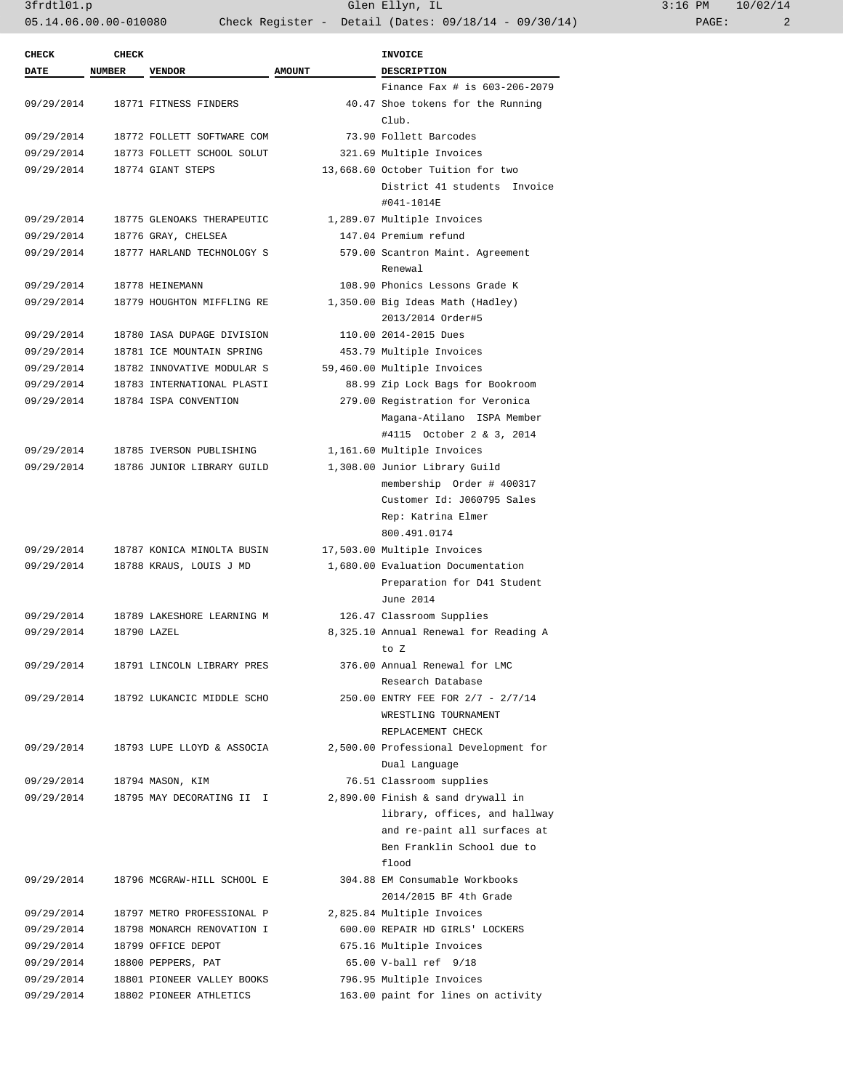3frdtl01.p Glen Ellyn, IL 3:16 PM 10/02/14 05.14.06.00.00-010080 Check Register - Detail (Dates: 09/18/14 - 09/30/14)

| <b>CHECK</b> | <b>CHECK</b>  |                                       |               | <b>INVOICE</b>                             |
|--------------|---------------|---------------------------------------|---------------|--------------------------------------------|
| <b>DATE</b>  | <b>NUMBER</b> | <b>VENDOR</b>                         | <b>AMOUNT</b> | <b>DESCRIPTION</b>                         |
|              |               |                                       |               | Finance Fax # is 603-206-2079              |
| 09/29/2014   |               | 18771 FITNESS FINDERS                 |               | 40.47 Shoe tokens for the Running<br>Club. |
| 09/29/2014   |               | 18772 FOLLETT SOFTWARE COM            |               | 73.90 Follett Barcodes                     |
| 09/29/2014   |               | 18773 FOLLETT SCHOOL SOLUT            |               | 321.69 Multiple Invoices                   |
| 09/29/2014   |               | 18774 GIANT STEPS                     |               | 13,668.60 October Tuition for two          |
|              |               |                                       |               | District 41 students Invoice               |
|              |               |                                       |               | #041-1014E                                 |
| 09/29/2014   |               | 18775 GLENOAKS THERAPEUTIC            |               | 1,289.07 Multiple Invoices                 |
| 09/29/2014   |               | 18776 GRAY, CHELSEA                   |               | 147.04 Premium refund                      |
| 09/29/2014   |               | 18777 HARLAND TECHNOLOGY S            |               | 579.00 Scantron Maint. Agreement           |
|              |               |                                       |               | Renewal                                    |
| 09/29/2014   |               | 18778 HEINEMANN                       |               | 108.90 Phonics Lessons Grade K             |
| 09/29/2014   |               | 18779 HOUGHTON MIFFLING RE            |               | 1,350.00 Big Ideas Math (Hadley)           |
|              |               |                                       |               | 2013/2014 Order#5                          |
| 09/29/2014   |               | 18780 IASA DUPAGE DIVISION            |               | 110.00 2014-2015 Dues                      |
| 09/29/2014   |               | 18781 ICE MOUNTAIN SPRING             |               | 453.79 Multiple Invoices                   |
| 09/29/2014   |               | 18782 INNOVATIVE MODULAR S            |               | 59,460.00 Multiple Invoices                |
| 09/29/2014   |               | 18783 INTERNATIONAL PLASTI            |               | 88.99 Zip Lock Bags for Bookroom           |
| 09/29/2014   |               | 18784 ISPA CONVENTION                 |               | 279.00 Registration for Veronica           |
|              |               |                                       |               | Magana-Atilano ISPA Member                 |
|              |               |                                       |               | #4115 October 2 & 3, 2014                  |
| 09/29/2014   |               | 18785 IVERSON PUBLISHING              |               | 1,161.60 Multiple Invoices                 |
| 09/29/2014   |               | 18786 JUNIOR LIBRARY GUILD            |               | 1,308.00 Junior Library Guild              |
|              |               |                                       |               | membership Order # 400317                  |
|              |               |                                       |               | Customer Id: J060795 Sales                 |
|              |               |                                       |               | Rep: Katrina Elmer                         |
|              |               |                                       |               | 800.491.0174                               |
| 09/29/2014   |               | 18787 KONICA MINOLTA BUSIN            |               | 17,503.00 Multiple Invoices                |
| 09/29/2014   |               | 18788 KRAUS, LOUIS J MD               |               | 1,680.00 Evaluation Documentation          |
|              |               |                                       |               | Preparation for D41 Student                |
|              |               |                                       |               | June 2014                                  |
| 09/29/2014   |               | 18789 LAKESHORE LEARNING M            |               | 126.47 Classroom Supplies                  |
| 09/29/2014   |               | 18790 LAZEL                           |               | 8,325.10 Annual Renewal for Reading A      |
|              |               |                                       |               | to Z                                       |
| 09/29/2014   |               | 18791 LINCOLN LIBRARY PRES            |               | 376.00 Annual Renewal for LMC              |
|              |               |                                       |               | Research Database                          |
|              |               | 09/29/2014 18792 LUKANCIC MIDDLE SCHO |               | 250.00 ENTRY FEE FOR 2/7 - 2/7/14          |
|              |               |                                       |               | WRESTLING TOURNAMENT                       |
|              |               |                                       |               | REPLACEMENT CHECK                          |
| 09/29/2014   |               | 18793 LUPE LLOYD & ASSOCIA            |               | 2,500.00 Professional Development for      |
|              |               |                                       |               | Dual Language                              |
| 09/29/2014   |               | 18794 MASON, KIM                      |               | 76.51 Classroom supplies                   |
| 09/29/2014   |               | 18795 MAY DECORATING II I             |               | 2,890.00 Finish & sand drywall in          |
|              |               |                                       |               | library, offices, and hallway              |
|              |               |                                       |               | and re-paint all surfaces at               |
|              |               |                                       |               | Ben Franklin School due to                 |
|              |               |                                       |               | flood                                      |
| 09/29/2014   |               | 18796 MCGRAW-HILL SCHOOL E            |               | 304.88 EM Consumable Workbooks             |
|              |               |                                       |               | 2014/2015 BF 4th Grade                     |
| 09/29/2014   |               | 18797 METRO PROFESSIONAL P            |               | 2,825.84 Multiple Invoices                 |
| 09/29/2014   |               | 18798 MONARCH RENOVATION I            |               | 600.00 REPAIR HD GIRLS' LOCKERS            |
| 09/29/2014   |               | 18799 OFFICE DEPOT                    |               | 675.16 Multiple Invoices                   |
| 09/29/2014   |               | 18800 PEPPERS, PAT                    |               | 65.00 V-ball ref 9/18                      |
| 09/29/2014   |               | 18801 PIONEER VALLEY BOOKS            |               | 796.95 Multiple Invoices                   |
| 09/29/2014   |               | 18802 PIONEER ATHLETICS               |               | 163.00 paint for lines on activity         |
|              |               |                                       |               |                                            |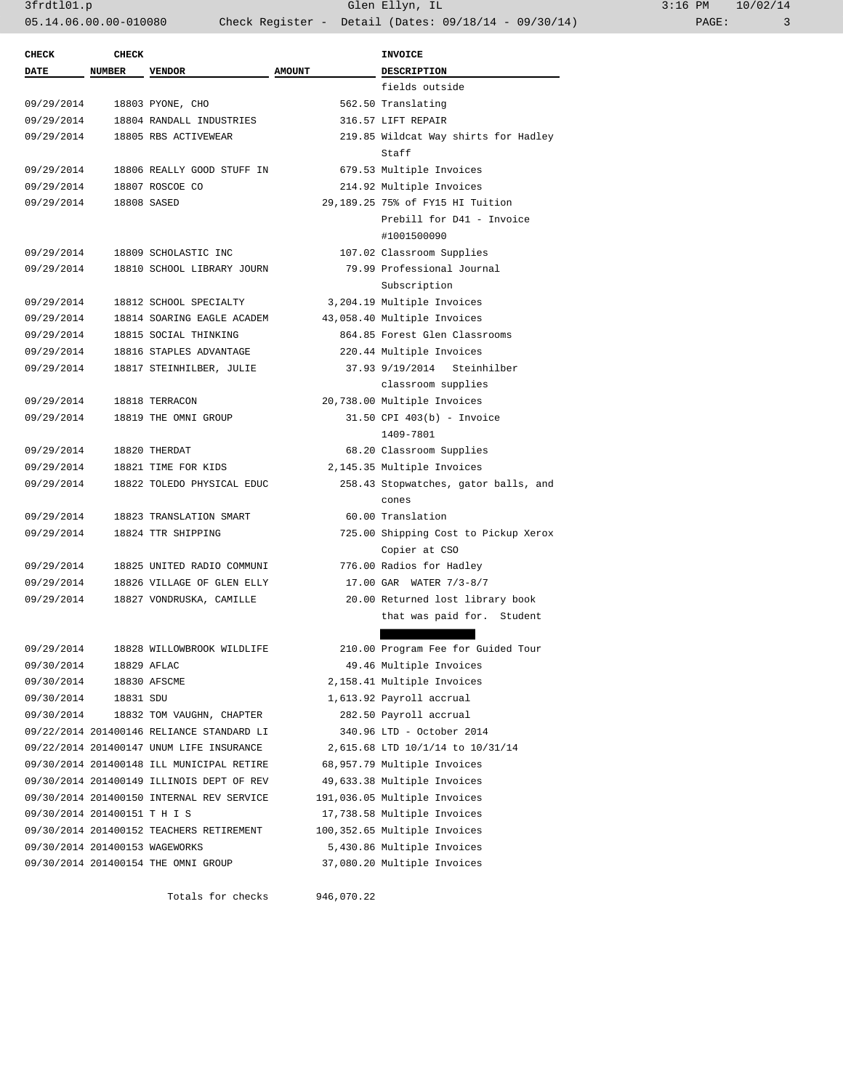| <b>CHECK</b>                   | <b>CHECK</b>  |                                                   |               | <b>INVOICE</b>                                                     |
|--------------------------------|---------------|---------------------------------------------------|---------------|--------------------------------------------------------------------|
| <b>DATE</b>                    | <b>NUMBER</b> | <b>VENDOR</b>                                     | <b>AMOUNT</b> | <b>DESCRIPTION</b>                                                 |
|                                |               |                                                   |               | fields outside                                                     |
| 09/29/2014                     |               | 18803 PYONE, CHO                                  |               | 562.50 Translating                                                 |
| 09/29/2014                     |               | 18804 RANDALL INDUSTRIES                          |               | 316.57 LIFT REPAIR                                                 |
| 09/29/2014                     |               | 18805 RBS ACTIVEWEAR                              |               | 219.85 Wildcat Way shirts for Hadley                               |
|                                |               |                                                   |               | Staff                                                              |
| 09/29/2014                     |               | 18806 REALLY GOOD STUFF IN                        |               | 679.53 Multiple Invoices                                           |
| 09/29/2014                     |               | 18807 ROSCOE CO                                   |               | 214.92 Multiple Invoices                                           |
| 09/29/2014                     |               | 18808 SASED                                       |               | 29,189.25 75% of FY15 HI Tuition                                   |
|                                |               |                                                   |               | Prebill for D41 - Invoice                                          |
|                                |               |                                                   |               | #1001500090                                                        |
| 09/29/2014                     |               | 18809 SCHOLASTIC INC                              |               | 107.02 Classroom Supplies                                          |
| 09/29/2014                     |               | 18810 SCHOOL LIBRARY JOURN                        |               | 79.99 Professional Journal                                         |
|                                |               |                                                   |               | Subscription                                                       |
| 09/29/2014                     |               | 18812 SCHOOL SPECIALTY                            |               | 3,204.19 Multiple Invoices                                         |
| 09/29/2014                     |               | 18814 SOARING EAGLE ACADEM                        |               | 43,058.40 Multiple Invoices                                        |
| 09/29/2014                     |               | 18815 SOCIAL THINKING                             |               | 864.85 Forest Glen Classrooms                                      |
| 09/29/2014                     |               | 18816 STAPLES ADVANTAGE                           |               | 220.44 Multiple Invoices                                           |
| 09/29/2014                     |               | 18817 STEINHILBER, JULIE                          |               | 37.93 9/19/2014 Steinhilber                                        |
|                                |               |                                                   |               | classroom supplies                                                 |
| 09/29/2014                     |               | 18818 TERRACON                                    |               | 20,738.00 Multiple Invoices                                        |
| 09/29/2014                     |               | 18819 THE OMNI GROUP                              |               | 31.50 CPI 403(b) - Invoice                                         |
|                                |               |                                                   |               | 1409-7801                                                          |
| 09/29/2014                     |               | 18820 THERDAT                                     |               | 68.20 Classroom Supplies                                           |
| 09/29/2014<br>09/29/2014       |               | 18821 TIME FOR KIDS<br>18822 TOLEDO PHYSICAL EDUC |               | 2,145.35 Multiple Invoices<br>258.43 Stopwatches, gator balls, and |
|                                |               |                                                   |               | cones                                                              |
| 09/29/2014                     |               | 18823 TRANSLATION SMART                           |               | 60.00 Translation                                                  |
| 09/29/2014                     |               | 18824 TTR SHIPPING                                |               | 725.00 Shipping Cost to Pickup Xerox                               |
|                                |               |                                                   |               | Copier at CSO                                                      |
| 09/29/2014                     |               | 18825 UNITED RADIO COMMUNI                        |               | 776.00 Radios for Hadley                                           |
| 09/29/2014                     |               | 18826 VILLAGE OF GLEN ELLY                        |               | 17.00 GAR WATER 7/3-8/7                                            |
| 09/29/2014                     |               | 18827 VONDRUSKA, CAMILLE                          |               | 20.00 Returned lost library book                                   |
|                                |               |                                                   |               | that was paid for. Student                                         |
|                                |               |                                                   |               |                                                                    |
| 09/29/2014                     |               | 18828 WILLOWBROOK WILDLIFE                        |               | 210.00 Program Fee for Guided Tour                                 |
| 09/30/2014                     |               | 18829 AFLAC                                       |               | 49.46 Multiple Invoices                                            |
| 09/30/2014                     |               | 18830 AFSCME                                      |               | 2,158.41 Multiple Invoices                                         |
| 09/30/2014                     | 18831 SDU     |                                                   |               | 1,613.92 Payroll accrual                                           |
| 09/30/2014                     |               | 18832 TOM VAUGHN, CHAPTER                         |               | 282.50 Payroll accrual                                             |
|                                |               | 09/22/2014 201400146 RELIANCE STANDARD LI         |               | 340.96 LTD - October 2014                                          |
|                                |               | 09/22/2014 201400147 UNUM LIFE INSURANCE          |               | 2,615.68 LTD 10/1/14 to 10/31/14                                   |
|                                |               | 09/30/2014 201400148 ILL MUNICIPAL RETIRE         |               | 68,957.79 Multiple Invoices                                        |
|                                |               | 09/30/2014 201400149 ILLINOIS DEPT OF REV         |               | 49,633.38 Multiple Invoices                                        |
|                                |               | 09/30/2014 201400150 INTERNAL REV SERVICE         |               | 191,036.05 Multiple Invoices                                       |
| 09/30/2014 201400151 T H I S   |               |                                                   |               | 17,738.58 Multiple Invoices                                        |
|                                |               | 09/30/2014 201400152 TEACHERS RETIREMENT          |               | 100,352.65 Multiple Invoices                                       |
| 09/30/2014 201400153 WAGEWORKS |               |                                                   |               | 5,430.86 Multiple Invoices                                         |
|                                |               | 09/30/2014 201400154 THE OMNI GROUP               |               | 37,080.20 Multiple Invoices                                        |
|                                |               |                                                   |               |                                                                    |

Totals for checks 946,070.22